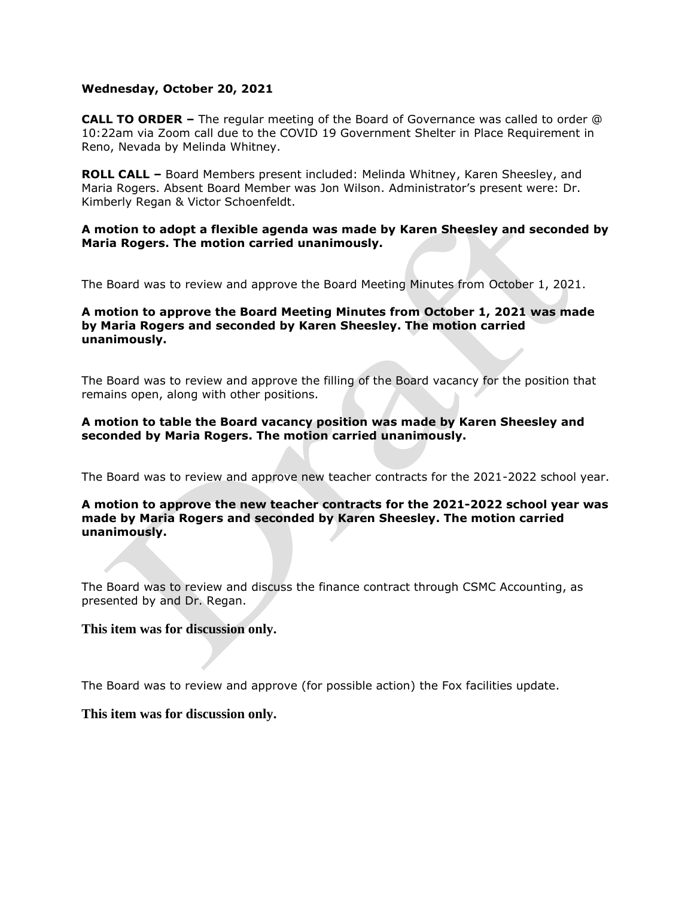### **Wednesday, October 20, 2021**

**CALL TO ORDER –** The regular meeting of the Board of Governance was called to order @ 10:22am via Zoom call due to the COVID 19 Government Shelter in Place Requirement in Reno, Nevada by Melinda Whitney.

**ROLL CALL –** Board Members present included: Melinda Whitney, Karen Sheesley, and Maria Rogers. Absent Board Member was Jon Wilson. Administrator's present were: Dr. Kimberly Regan & Victor Schoenfeldt.

## **A motion to adopt a flexible agenda was made by Karen Sheesley and seconded by Maria Rogers. The motion carried unanimously.**

The Board was to review and approve the Board Meeting Minutes from October 1, 2021.

## **A motion to approve the Board Meeting Minutes from October 1, 2021 was made by Maria Rogers and seconded by Karen Sheesley. The motion carried unanimously.**

The Board was to review and approve the filling of the Board vacancy for the position that remains open, along with other positions.

## **A motion to table the Board vacancy position was made by Karen Sheesley and seconded by Maria Rogers. The motion carried unanimously.**

The Board was to review and approve new teacher contracts for the 2021-2022 school year.

## **A motion to approve the new teacher contracts for the 2021-2022 school year was made by Maria Rogers and seconded by Karen Sheesley. The motion carried unanimously.**

The Board was to review and discuss the finance contract through CSMC Accounting, as presented by and Dr. Regan.

# **This item was for discussion only.**

The Board was to review and approve (for possible action) the Fox facilities update.

# **This item was for discussion only.**